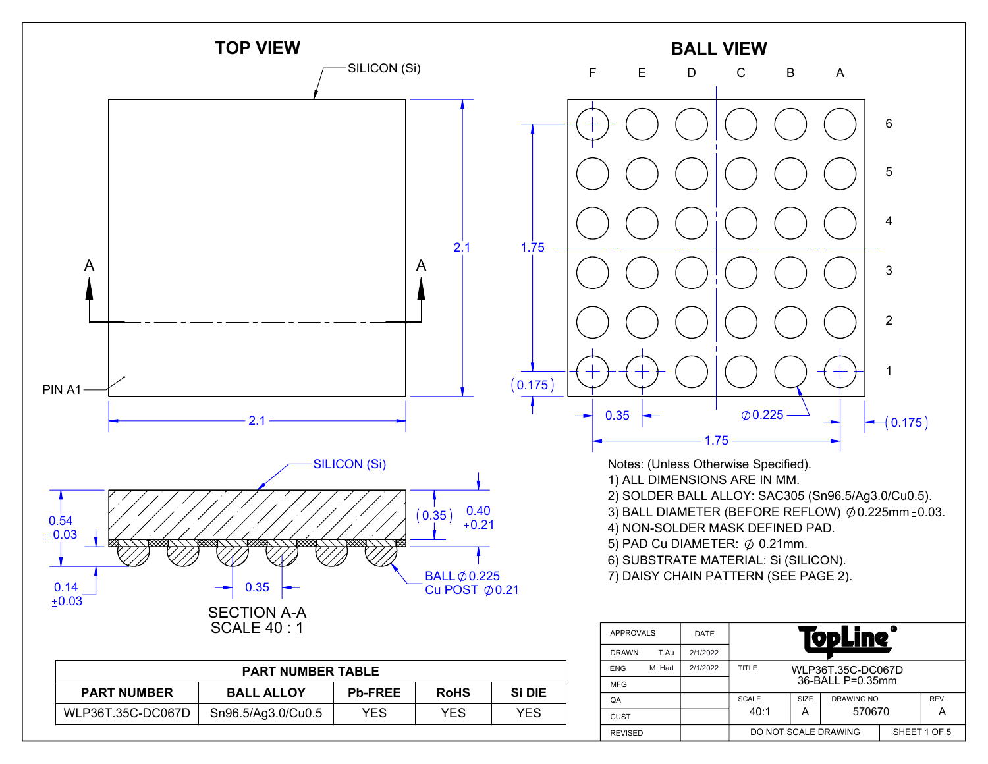

| <b>PART NUMBER</b> | <b>BALL ALLOY</b>  | <b>Pb-FREE</b> | <b>RoHS</b> | Si DIE | <b>MFG</b>  |
|--------------------|--------------------|----------------|-------------|--------|-------------|
|                    |                    |                |             |        | QA          |
| WLP36T.35C-DC067D  | Sn96.5/Ag3.0/Cu0.5 | YES            | YES         | YES    | <b>CUST</b> |

REVISED

A 570670 A

SHEET 1 OF 5

DO NOT SCALE DRAWING

40:1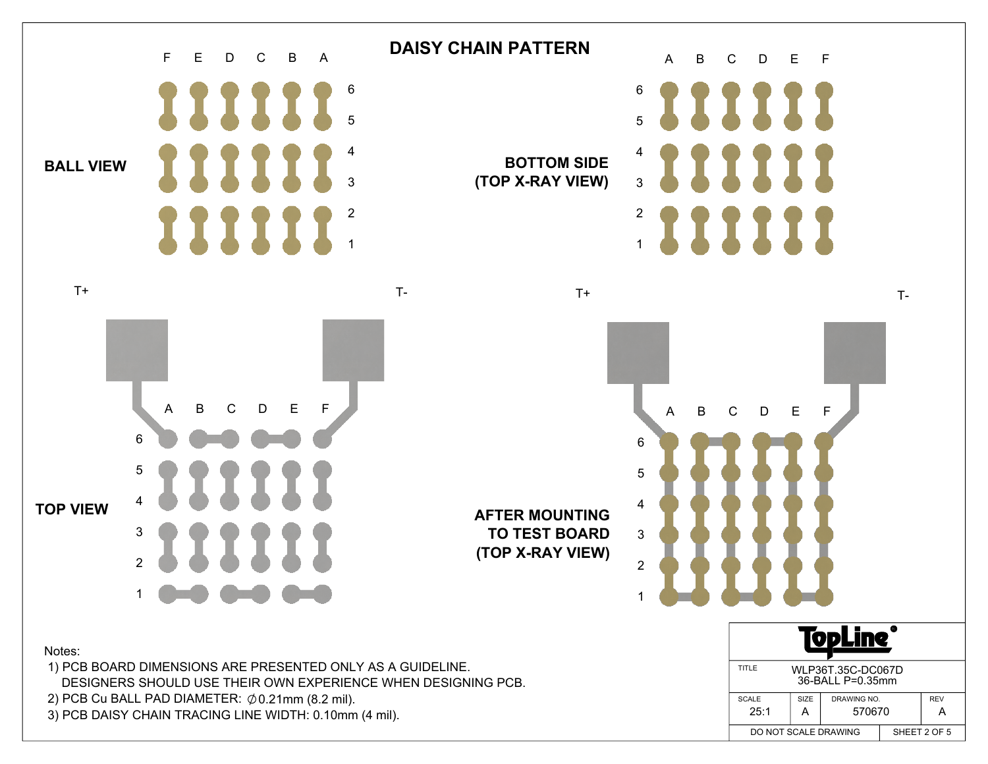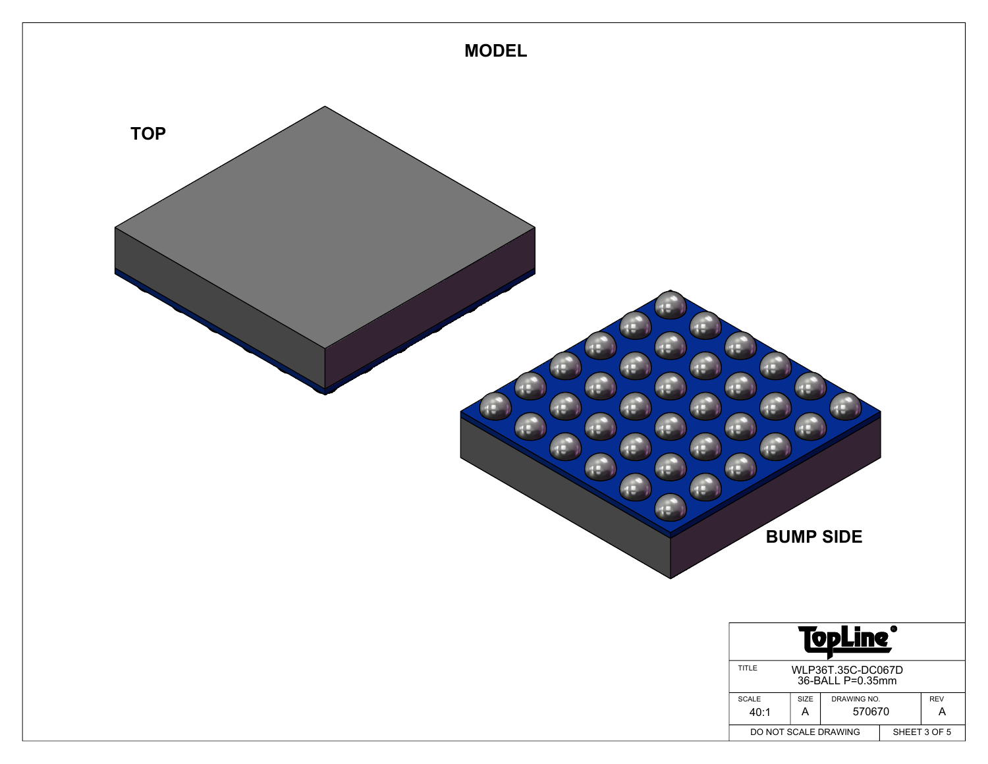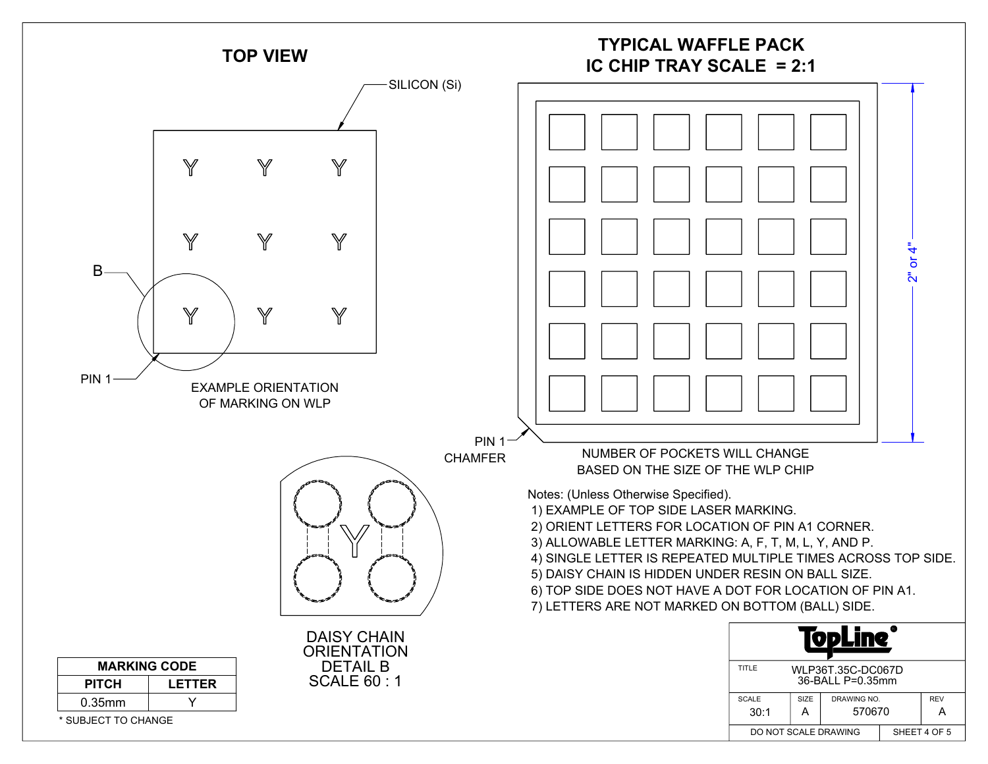